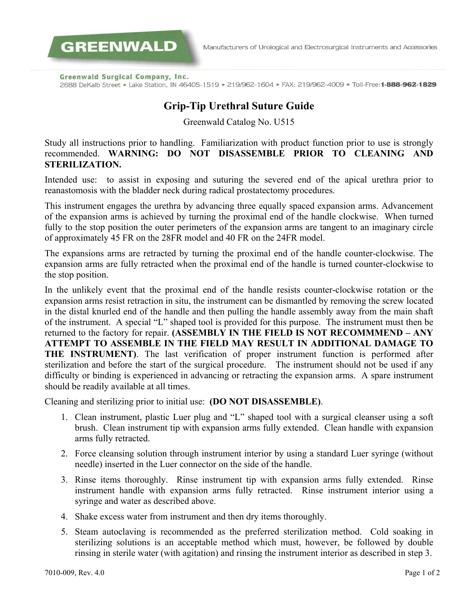Manufacturers of Urological and Electrosurgical Instruments and Accessories

**Greenwald Surgical Company, Inc.** 

**GREENWALD** 

2688 DeKalb Street . Lake Station, IN 46405-1519 . 219/962-1604 . FAX: 219/962-4009 . Toll-Free: 1-888-962-1829

### **Grip-Tip Urethral Suture Guide**

Greenwald Catalog No. U515

Study all instructions prior to handling. Familiarization with product function prior to use is strongly recommended. **WARNING: DO NOT DISASSEMBLE PRIOR TO CLEANING AND STERILIZATION.**

Intended use: to assist in exposing and suturing the severed end of the apical urethra prior to reanastomosis with the bladder neck during radical prostatectomy procedures.

This instrument engages the urethra by advancing three equally spaced expansion arms. Advancement of the expansion arms is achieved by turning the proximal end of the handle clockwise. When turned fully to the stop position the outer perimeters of the expansion arms are tangent to an imaginary circle of approximately 45 FR on the 28FR model and 40 FR on the 24FR model.

The expansions arms are retracted by turning the proximal end of the handle counter-clockwise. The expansion arms are fully retracted when the proximal end of the handle is turned counter-clockwise to the stop position.

In the unlikely event that the proximal end of the handle resists counter-clockwise rotation or the expansion arms resist retraction in situ, the instrument can be dismantled by removing the screw located in the distal knurled end of the handle and then pulling the handle assembly away from the main shaft of the instrument. A special "L" shaped tool is provided for this purpose. The instrument must then be returned to the factory for repair. **(ASSEMBLY IN THE FIELD IS NOT RECOMMMEND – ANY ATTEMPT TO ASSEMBLE IN THE FIELD MAY RESULT IN ADDITIONAL DAMAGE TO THE INSTRUMENT)**. The last verification of proper instrument function is performed after sterilization and before the start of the surgical procedure. The instrument should not be used if any difficulty or binding is experienced in advancing or retracting the expansion arms. A spare instrument should be readily available at all times.

Cleaning and sterilizing prior to initial use: **(DO NOT DISASSEMBLE)**.

- 1. Clean instrument, plastic Luer plug and "L" shaped tool with a surgical cleanser using a soft brush. Clean instrument tip with expansion arms fully extended. Clean handle with expansion arms fully retracted.
- 2. Force cleansing solution through instrument interior by using a standard Luer syringe (without needle) inserted in the Luer connector on the side of the handle.
- 3. Rinse items thoroughly. Rinse instrument tip with expansion arms fully extended. Rinse instrument handle with expansion arms fully retracted. Rinse instrument interior using a syringe and water as described above.
- 4. Shake excess water from instrument and then dry items thoroughly.
- 5. Steam autoclaving is recommended as the preferred sterilization method. Cold soaking in sterilizing solutions is an acceptable method which must, however, be followed by double rinsing in sterile water (with agitation) and rinsing the instrument interior as described in step 3.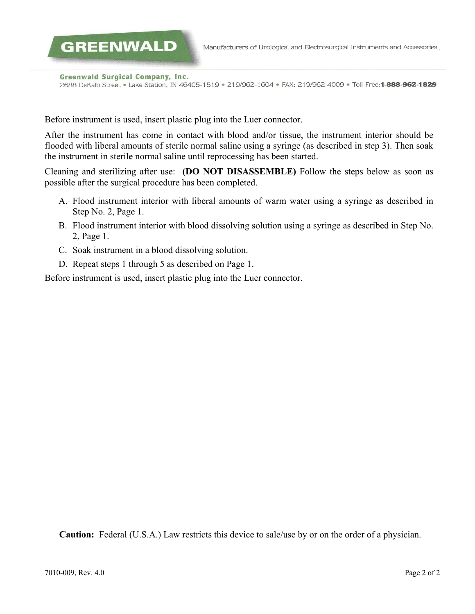Manufacturers of Urological and Electrosurgical Instruments and Accessories

**Greenwald Surgical Company, Inc.** 

**GREENWALD** 

2688 DeKalb Street . Lake Station, IN 46405-1519 . 219/962-1604 . FAX: 219/962-4009 . Toll-Free: 1-888-962-1829

Before instrument is used, insert plastic plug into the Luer connector.

After the instrument has come in contact with blood and/or tissue, the instrument interior should be flooded with liberal amounts of sterile normal saline using a syringe (as described in step 3). Then soak the instrument in sterile normal saline until reprocessing has been started.

Cleaning and sterilizing after use: **(DO NOT DISASSEMBLE)** Follow the steps below as soon as possible after the surgical procedure has been completed.

- A. Flood instrument interior with liberal amounts of warm water using a syringe as described in Step No. 2, Page 1.
- B. Flood instrument interior with blood dissolving solution using a syringe as described in Step No. 2, Page 1.
- C. Soak instrument in a blood dissolving solution.
- D. Repeat steps 1 through 5 as described on Page 1.

Before instrument is used, insert plastic plug into the Luer connector.

**Caution:** Federal (U.S.A.) Law restricts this device to sale/use by or on the order of a physician.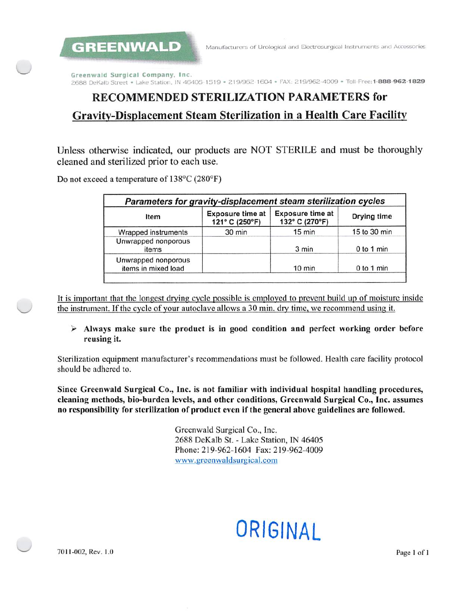GREENWALD

Greenwald Surgical Company, Inc. 2688 DeKalb Street . Lake Station, IN 46405-1519 . 219/962-1604 . FAX: 219/962-4009 . Toll-Free: 1-888-962-1829

## **RECOMMENDED STERILIZATION PARAMETERS for** Gravity-Displacement Steam Sterilization in a Health Care Facility

Unless otherwise indicated, our products are NOT STERILE and must be thoroughly cleaned and sterilized prior to each use.

Do not exceed a temperature of 138°C (280°F)

| Parameters for gravity-displacement steam sterilization cycles |                                           |                                           |              |  |
|----------------------------------------------------------------|-------------------------------------------|-------------------------------------------|--------------|--|
| Item                                                           | <b>Exposure time at</b><br>121° C (250°F) | <b>Exposure time at</b><br>132° C (270°F) | Drying time  |  |
| Wrapped instruments                                            | $30$ min                                  | 15 min                                    | 15 to 30 min |  |
| Unwrapped nonporous<br>items                                   |                                           | 3 min                                     | 0 to 1 min   |  |
| Unwrapped nonporous<br>items in mixed load                     |                                           | $10$ min                                  | 0 to 1 min   |  |

It is important that the longest drying cycle possible is employed to prevent build up of moisture inside the instrument. If the cycle of your autoclave allows a 30 min. dry time, we recommend using it.

#### $\triangleright$  Always make sure the product is in good condition and perfect working order before reusing it.

Sterilization equipment manufacturer's recommendations must be followed. Health care facility protocol should be adhered to.

Since Greenwald Surgical Co., Inc. is not familiar with individual hospital handling procedures, cleaning methods, bio-burden levels, and other conditions, Greenwald Surgical Co., Inc. assumes no responsibility for sterilization of product even if the general above guidelines are followed.

> Greenwald Surgical Co., Inc. 2688 DeKalb St. - Lake Station, IN 46405 Phone: 219-962-1604 Fax: 219-962-4009 www.greenwaldsurgical.com

# ORIGINAL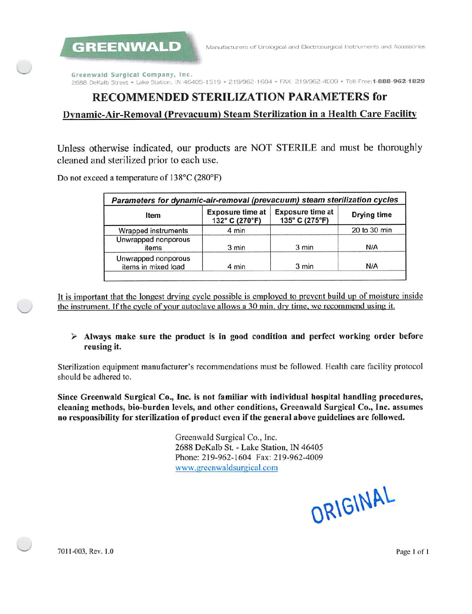**GREENWALD** 

Greenwald Surgical Company, Inc. 2688 DeKalb Street . Lake Station, IN 46405-1519 . 219/962-1604 . FAX: 219/962-4009 . Toll-Free: 1-888-962-1829

## RECOMMENDED STERILIZATION PARAMETERS for

### Dynamic-Air-Removal (Prevacuum) Steam Sterilization in a Health Care Facility

Unless otherwise indicated, our products are NOT STERILE and must be thoroughly cleaned and sterilized prior to each use.

Do not exceed a temperature of 138°C (280°F)

| Parameters for dynamic-air-removal (prevacuum) steam sterilization cycles |                                           |                                           |              |  |
|---------------------------------------------------------------------------|-------------------------------------------|-------------------------------------------|--------------|--|
| Item                                                                      | <b>Exposure time at</b><br>132° C (270°F) | <b>Exposure time at</b><br>135° C (275°F) | Drying time  |  |
| Wrapped instruments                                                       | 4 min                                     |                                           | 20 to 30 min |  |
| Unwrapped nonporous<br>items                                              | 3 min                                     | 3 min                                     | N/A          |  |
| Unwrapped nonporous<br>items in mixed load                                | 4 min                                     | 3 min                                     | N/A          |  |

It is important that the longest drying cycle possible is employed to prevent build up of moisture inside the instrument. If the cycle of your autoclave allows a 30 min, dry time, we recommend using it.

#### > Always make sure the product is in good condition and perfect working order before reusing it.

Sterilization equipment manufacturer's recommendations must be followed. Health care facility protocol should be adhered to.

Since Greenwald Surgical Co., Inc. is not familiar with individual hospital handling procedures, cleaning methods, bio-burden levels, and other conditions, Greenwald Surgical Co., Inc. assumes no responsibility for sterilization of product even if the general above guidelines are followed.

> Greenwald Surgical Co., Inc. 2688 DeKalb St. - Lake Station, IN 46405 Phone: 219-962-1604 Fax: 219-962-4009 www.greenwaldsurgical.com

ORIGINAL

7011-003, Rev. 1.0

Page 1 of 1